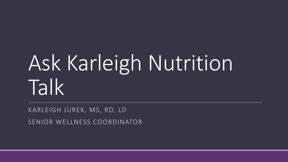# Ask Karleigh Nutrition Talk

KARLEIGH JUREK, MS, RD, LD SENIOR WELLNESS COORDINATOR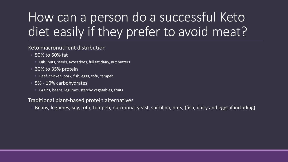## How can a person do a successful Keto diet easily if they prefer to avoid meat?

#### Keto macronutrient distribution

- 50% to 60% fat
	- Oils, nuts, seeds, avocadoes, full fat dairy, nut butters
- 30% to 35% protein
	- Beef, chicken, pork, fish, eggs, tofu, tempeh
- 5% 10% carbohydrates
	- Grains, beans, legumes, starchy vegetables, fruits

#### Traditional plant-based protein alternatives

◦ Beans, legumes, soy, tofu, tempeh, nutritional yeast, spirulina, nuts, (fish, dairy and eggs if including)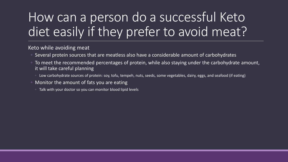## How can a person do a successful Keto diet easily if they prefer to avoid meat?

Keto while avoiding meat

- Several protein sources that are meatless also have a considerable amount of carbohydrates
- To meet the recommended percentages of protein, while also staying under the carbohydrate amount, it will take careful planning
	- Low carbohydrate sources of protein: soy, tofu, tempeh, nuts, seeds, some vegetables, dairy, eggs, and seafood (if eating)
- Monitor the amount of fats you are eating
	- Talk with your doctor so you can monitor blood lipid levels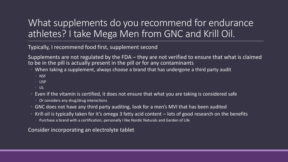### What supplements do you recommend for endurance athletes? I take Mega Men from GNC and Krill Oil.

Typically, I recommend food first, supplement second

Supplements are not regulated by the FDA – they are not verified to ensure that what is claimed to be in the pill is actually present in the pill or for any contaminants

- When taking a supplement, always choose a brand that has undergone a third party audit
	- NSF
	- USP
	- UL
- Even if the vitamin is certified, it does not ensure that what you are taking is considered safe
	- Or considers any drug/drug interactions
- GNC does not have any third party auditing, look for a men's MVI that has been audited
- Krill oil is typically taken for it's omega 3 fatty acid content lots of good research on the benefits
	- Purchase a brand with a certification, personally I like Nordic Naturals and Garden of Life

Consider incorporating an electrolyte tablet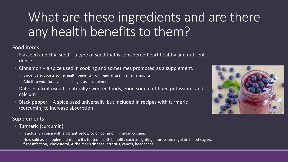## What are these ingredients and are there any health benefits to them?

Food items:

- Flaxseed and chia seed a type of seed that is considered heart healthy and nutrientdense
- Cinnamon a spice used in cooking and sometimes promoted as a supplement.
	- Evidence supports some health benefits from regular use in small amounts
	- Add it to your food versus taking it as a supplement
- Dates a fruit used to naturally sweeten foods, good source of fiber, potassium, and calcium
- Black pepper  $-$  A spice used universally, but included in recipes with turmeric (curcumin) to increase absorption

Supplements:

- Turmeric (curcumin)
	- Is actually a spice with a vibrant yellow color, common in Indian cuisines
	- Now sold as a supplement due to it's touted health benefits such as fighting depression, regulate blood sugars, fight infection, cholesterol, Alzheimer's disease, arthritis, cancer, headaches

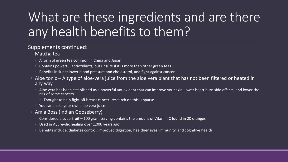## What are these ingredients and are there any health benefits to them?

#### Supplements continued:

- Matcha tea
	- A form of green tea common in China and Japan
	- Contains powerful antioxidants, but unsure if it is more than other green teas
	- Benefits include: lower blood pressure and cholesterol, and fight against cancer
- Aloe tonic A type of aloe-vera juice from the aloe vera plant that has not been filtered or heated in any way
	- Aloe vera has been established as a powerful antioxidant that can improve your skin, lower heart burn side effects, and lower the risk of some cancers
		- Thought to help fight off breast cancer- research on this is sparse
	- You can make your own aloe vera juice
- Amla Boss (Indian Gooseberry)
	- Considered a superfruit 100 gram serving contains the amount of Vitamin C found in 20 oranges
	- Used in Ayurevdic healing over 1,000 years ago
	- Benefits include: diabetes control, improved digestion, healthier eyes, immunity, and cognitive health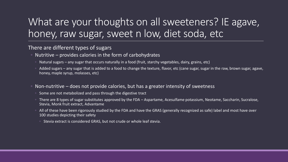### What are your thoughts on all sweeteners? IE agave, honey, raw sugar, sweet n low, diet soda, etc

#### There are different types of sugars

- Nutritive provides calories in the form of carbohydrates
	- Natural sugars any sugar that occurs naturally in a food (fruit, starchy vegetables, dairy, grains, etc)
	- $\circ$  Added sugars any sugar that is added to a food to change the texture, flavor, etc (cane sugar, sugar in the raw, brown sugar, agave, honey, maple syrup, molasses, etc)
- Non-nutritive does not provide calories, but has a greater intensity of sweetness
	- Some are not metabolized and pass through the digestive tract
	- There are 8 types of sugar substitutes approved by the FDA Aspartame, Acesulfame potassium, Neotame, Saccharin, Sucralose, Stevia, Monk fruit extract, Advantame
	- All of these have been rigorously studied by the FDA and have the GRAS (generally recognized as safe) label and most have over 100 studies depicting their safety
		- Stevia extract is considered GRAS, but not crude or whole leaf stevia.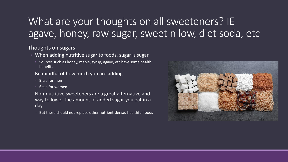### What are your thoughts on all sweeteners? IE agave, honey, raw sugar, sweet n low, diet soda, etc

#### Thoughts on sugars:

- When adding nutritive sugar to foods, sugar is sugar
	- Sources such as honey, maple, syrup, agave, etc have some health benefits
- Be mindful of how much you are adding
	- 9 tsp for men
	- 6 tsp for women
- Non-nutritive sweeteners are a great alternative and way to lower the amount of added sugar you eat in a day
	- But these should not replace other nutrient-dense, healthful foods

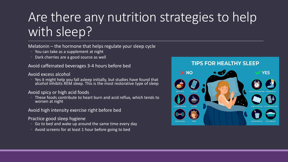### Are there any nutrition strategies to help with sleep?

Melatonin – the hormone that helps regulate your sleep cycle

- You can take as a supplement at night
- Dark cherries are a good source as well

Avoid caffeinated beverages 3-4 hours before bed

#### Avoid excess alcohol

◦ Yes it might help you fall asleep initially, but studies have found that alcohol inhibits REM sleep. This is the most restorative type of sleep

#### Avoid spicy or high acid foods

◦ These foods contribute to heart burn and acid reflux, which tends to worsen at night

#### Avoid high intensity exercise right before bed

#### Practice good sleep hygiene

- Go to bed and wake up around the same time every day
- Avoid screens for at least 1 hour before going to bed

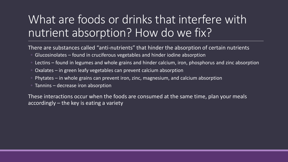### What are foods or drinks that interfere with nutrient absorption? How do we fix?

There are substances called "anti-nutrients" that hinder the absorption of certain nutrients

- Glucosinolates found in cruciferous vegetables and hinder iodine absorption
- Lectins found in legumes and whole grains and hinder calcium, iron, phosphorus and zinc absorption
- Oxalates in green leafy vegetables can prevent calcium absorption
- Phytates in whole grains can prevent iron, zinc, magnesium, and calcium absorption
- Tannins decrease iron absorption

These interactions occur when the foods are consumed at the same time, plan your meals accordingly – the key is eating a variety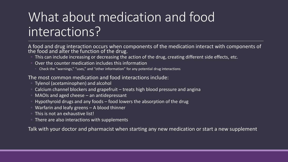### What about medication and food interactions?

A food and drug interaction occurs when components of the medication interact with components of the food and alter the function of the drug.

- This can include increasing or decreasing the action of the drug, creating different side effects, etc.
- Over the counter medication includes this information
	- Check the "warnings," "uses," and "other information" for any potential drug interactions

The most common medication and food interactions include:

- Tylenol (acetaminophen) and alcohol
- Calcium channel blockers and grapefruit treats high blood pressure and angina
- MAOIs and aged cheese an antidepressant
- Hypothyroid drugs and any foods food lowers the absorption of the drug
- Warfarin and leafy greens A blood thinner
- This is not an exhaustive list!
- There are also interactions with supplements

Talk with your doctor and pharmacist when starting any new medication or start a new supplement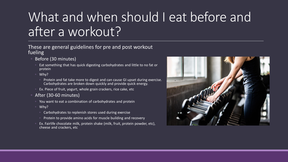## What and when should I eat before and after a workout?

#### These are general guidelines for pre and post workout fueling

- Before (30 minutes)
	- Eat something that has quick digesting carbohydrates and little to no fat or protein
	- Why?
		- Protein and fat take more to digest and can cause GI upset during exercise. Carbohydrates are broken down quickly and provide quick energy.
	- Ex. Piece of fruit, yogurt, whole grain crackers, rice cake, etc
- After (30-60 minutes)
	- You want to eat a combination of carbohydrates and protein
	- Why?
		- Carbohydrates to replenish stores used during exercise
		- Protein to provide amino acids for muscle building and recovery
	- Ex. Fairlife chocolate milk, protein shake (milk, fruit, protein powder, etc), cheese and crackers, etc

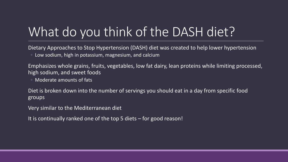## What do you think of the DASH diet?

Dietary Approaches to Stop Hypertension (DASH) diet was created to help lower hypertension ◦ Low sodium, high in potassium, magnesium, and calcium

Emphasizes whole grains, fruits, vegetables, low fat dairy, lean proteins while limiting processed, high sodium, and sweet foods

◦ Moderate amounts of fats

Diet is broken down into the number of servings you should eat in a day from specific food groups

Very similar to the Mediterranean diet

It is continually ranked one of the top 5 diets – for good reason!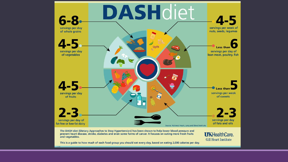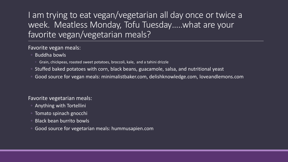### I am trying to eat vegan/vegetarian all day once or twice a week. Meatless Monday, Tofu Tuesday…..what are your favorite vegan/vegetarian meals?

#### Favorite vegan meals:

- Buddha bowls
	- Grain, chickpeas, roasted sweet potatoes, broccoli, kale, and a tahini drizzle
- Stuffed baked potatoes with corn, black beans, guacamole, salsa, and nutritional yeast
- Good source for vegan meals: minimalistbaker.com, delishknowledge.com, loveandlemons.com

#### Favorite vegetarian meals:

- Anything with Tortellini
- Tomato spinach gnocchi
- Black bean burrito bowls
- Good source for vegetarian meals: hummusapien.com